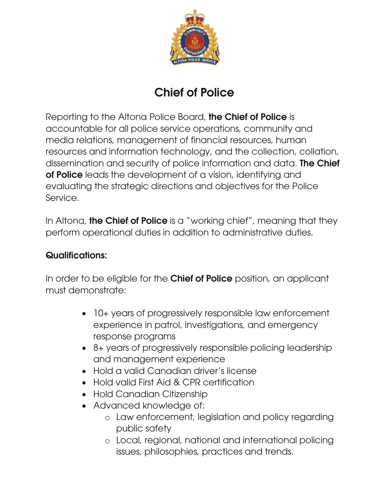

## Chief of Police

Reporting to the Altona Police Board, the Chief of Police is accountable for all police service operations, community and media relations, management of financial resources, human resources and information technology, and the collection, collation, dissemination and security of police information and data. The Chief of Police leads the development of a vision, identifying and evaluating the strategic directions and objectives for the Police Service.

In Altona, **the Chief of Police** is a "working chief", meaning that they perform operational duties in addition to administrative duties.

## Qualifications:

In order to be eligible for the **Chief of Police** position, an applicant must demonstrate:

- 10+ years of progressively responsible law enforcement experience in patrol, investigations, and emergency response programs
- 8+ years of progressively responsible policing leadership and management experience
- Hold a valid Canadian driver's license
- Hold valid First Aid & CPR certification
- Hold Canadian Citizenship
- Advanced knowledge of:
	- o Law enforcement, legislation and policy regarding public safety
	- o Local, regional, national and international policing issues, philosophies, practices and trends.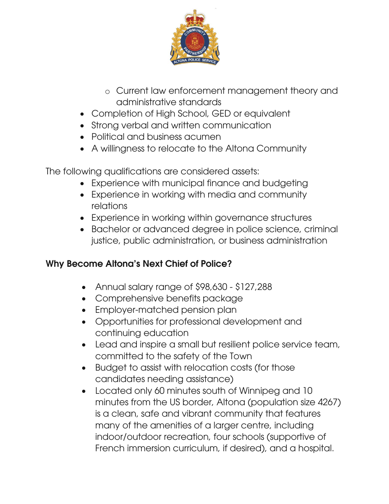

- o Current law enforcement management theory and administrative standards
- Completion of High School, GED or equivalent
- Strong verbal and written communication
- Political and business acument
- A willingness to relocate to the Altona Community

The following qualifications are considered assets:

- Experience with municipal finance and budgeting
- Experience in working with media and community relations
- Experience in working within governance structures
- Bachelor or advanced degree in police science, criminal justice, public administration, or business administration

## Why Become Altona's Next Chief of Police?

- Annual salary range of \$98,630 \$127,288
- Comprehensive benefits package
- Employer-matched pension plan
- Opportunities for professional development and continuing education
- Lead and inspire a small but resilient police service team, committed to the safety of the Town
- Budget to assist with relocation costs (for those candidates needing assistance)
- Located only 60 minutes south of Winnipeg and 10 minutes from the US border, Altona (population size 4267) is a clean, safe and vibrant community that features many of the amenities of a larger centre, including indoor/outdoor recreation, four schools (supportive of French immersion curriculum, if desired), and a hospital.